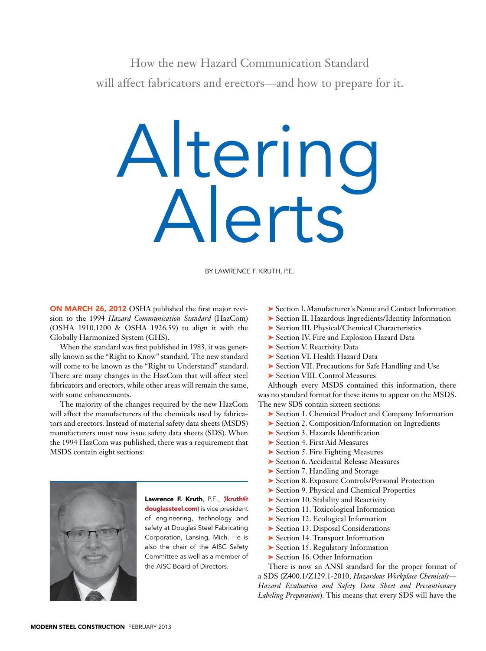How the new Hazard Communication Standard will affect fabricators and erectors—and how to prepare for it.

## Altering Alerts

By Lawrence F. Kruth, P.E.

ON MARCH 26, 2012 OSHA published the first major revision to the 1994 *Hazard Communication Standard* (HazCom) (OSHA 1910.1200 & OSHA 1926.59) to align it with the Globally Harmonized System (GHS).

When the standard was first published in 1983, it was generally known as the "Right to Know" standard. The new standard will come to be known as the "Right to Understand" standard. There are many changes in the HazCom that will affect steel fabricators and erectors, while other areas will remain the same, with some enhancements.

The majority of the changes required by the new HazCom will affect the manufacturers of the chemicals used by fabricators and erectors. Instead of material safety data sheets (MSDS) manufacturers must now issue safety data sheets (SDS). When the 1994 HazCom was published, there was a requirement that MSDS contain eight sections:



Lawrence F. Kruth, P.E., (Ikruth@ douglassteel.com) is vice president of engineering, technology and safety at Douglas Steel Fabricating Corporation, Lansing, Mich. He is also the chair of the AISC Safety Committee as well as a member of the AISC Board of Directors.

- ➤ Section I. Manufacturer's Name and Contact Information
- ➤ Section II. Hazardous Ingredients/Identity Information
- ▶ Section III. Physical/Chemical Characteristics
- ▶ Section IV. Fire and Explosion Hazard Data
- ► Section V. Reactivity Data
- ➤ Section VI. Health Hazard Data
- ➤ Section VII. Precautions for Safe Handling and Use
- ➤ Section VIII. Control Measures

Although every MSDS contained this information, there was no standard format for these items to appear on the MSDS. The new SDS contain sixteen sections:

- ➤ Section 1. Chemical Product and Company Information
- ➤ Section 2. Composition/Information on Ingredients
- ➤ Section 3. Hazards Identification
- ▶ Section 4. First Aid Measures
- ➤ Section 5. Fire Fighting Measures
- ➤ Section 6. Accidental Release Measures
- ► Section 7. Handling and Storage
- ➤ Section 8. Exposure Controls/Personal Protection
- ➤ Section 9. Physical and Chemical Properties
- ▶ Section 10. Stability and Reactivity
- ➤ Section 11. Toxicological Information
- ➤ Section 12. Ecological Information
- ➤ Section 13. Disposal Considerations
- ➤ Section 14. Transport Information
- ➤ Section 15. Regulatory Information
- ► Section 16. Other Information

There is now an ANSI standard for the proper format of a SDS (Z400.1/Z129.1-2010, *Hazardous Workplace Chemicals— Hazard Evaluation and Safety Data Sheet and Precautionary Labeling Preparation*). This means that every SDS will have the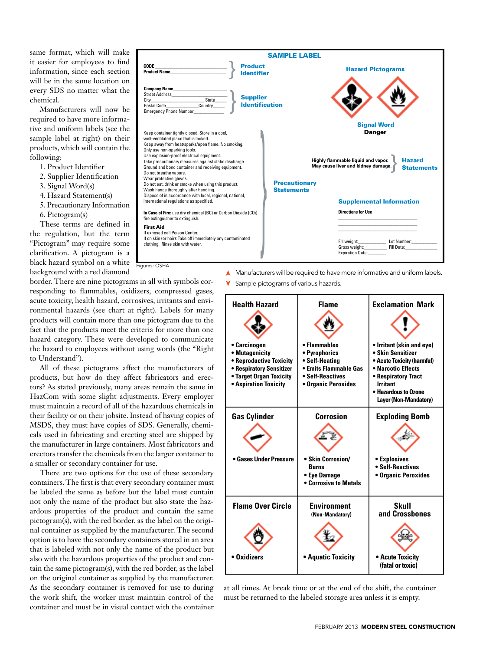same format, which will make it easier for employees to find information, since each section will be in the same location on every SDS no matter what the chemical.

Manufacturers will now be required to have more informative and uniform labels (see the sample label at right) on their products, which will contain the following:

1. Product Identifier

- 2. Supplier Identification
- 3. Signal Word(s)
- 4. Hazard Statement(s)
- 5. Precautionary Information
	- 6. Pictogram(s)

These terms are defined in the regulation, but the term "Pictogram" may require some  $clarification. A pictogram is a$ black hazard symbol on a white background with a red diamond

bon Dioxide (CO<sub>2</sub>) (HCS) will require pictograms on labels to all requires on labels to all requirements of  $\sim$ the chemical hazards to which they may be exposed. Each  $\begin{picture}(180,180)(0.0000,0.0000) \put(0,0){\line(1,0){10}} \put(1,0){\line(1,0){10}} \put(1,0){\line(1,0){10}} \put(1,0){\line(1,0){10}} \put(1,0){\line(1,0){10}} \put(1,0){\line(1,0){10}} \put(1,0){\line(1,0){10}} \put(1,0){\line(1,0){10}} \put(1,0){\line(1,0){10}} \put(1,0){\line(1,0){10}} \put(1,0){\line(1,0){10}} \put(1,0$ framed within a red border and represents a distinct hazard(s). The pictogram on the pictogram on the label is determined by the label is determined by the label is ment. May cause liver and kidney damage. Statement Statements **Quick**<br>**Quick**<br>**Quick**<br>**Quick** anger<br>**Card** Product Identifier **Signal Word** Supplier **Identification** Hazard **Statements** Hazard Pictograms **Company Nam** Street Address\_\_\_\_\_\_\_\_\_\_\_\_\_\_\_\_\_\_\_\_\_\_\_\_ City\_\_\_\_\_\_\_\_\_\_\_\_\_\_\_\_\_\_\_\_\_\_\_ State\_\_\_\_\_ Postal Code\_\_\_\_\_\_\_\_\_\_\_\_\_\_Country\_\_\_\_\_ Emergency Phone Number\_\_\_\_\_\_\_\_\_\_\_\_\_ **Highly flammable liquid and vapor. May cause liver and kidney damage.** Keep container tightly closed. Store in a cool, well-ventilated place that is locked. Keep away from heat/sparks/open flame. No smoking. Only use non-sparking tools. Use explosion-proof electrical equipment. Take precautionary measures against static discharge. Ground and bond container and receiving equipment. Do not breathe vapors. Wear protective gloves. Do not eat, drink or smoke when using this product. Wash hands thoroughly after handling. Dispose of in accordance with local, regional, national, international regulations as specified. **In Case of Fire:** use dry chemical (BC) or Carbon Dioxide (CO2) fire extinguisher to extinguish. First Aid If exposed call Poison Center. If on skin (or hair): Take off immediately any contaminated if on skin (or hair): Take off immediately any contaminated and the set of the skin with weight: The Lot Numbe<br>Clothing. Rinse skin with water. Fill Date: Fill Date: Fill Date: Fill Date: Fill Date: Gross weight: Expiration Date: Danger } **CODE** \_\_\_\_\_\_\_\_\_\_\_\_\_\_\_\_\_\_\_\_\_\_\_\_\_\_\_\_\_\_\_ **Product Name**\_\_\_\_\_\_\_\_\_\_\_\_\_\_\_\_\_\_\_\_\_\_\_\_ **Directions for Use** \_\_\_\_\_\_\_\_\_\_\_\_\_\_\_\_\_\_\_\_\_\_\_\_\_\_\_\_\_\_\_\_\_\_  $\mathcal{L}_\text{max}$  and  $\mathcal{L}_\text{max}$  and  $\mathcal{L}_\text{max}$  and  $\mathcal{L}_\text{max}$ \_\_\_\_\_\_\_\_\_\_\_\_\_\_\_\_\_\_\_\_\_\_\_\_\_\_\_\_\_\_\_\_\_\_ **Precautionary Statements Supplemental Information<br>Directions for Use**<br>Till weight: Later Manumber: Later Manumber<br>Gross weight: Later Hill Dater } } SAMPLE LABEL Figures: OSHA

border. There are nine pictograms in all with symbols corresponding to flammables, oxidizers, compressed gases, acute toxicity, health hazard, corrosives, irritants and environmental hazards (see chart at right). Labels for many products will contain more than one pictogram due to the fact that the products meet the criteria for more than one hazard category. These were developed to communicate the hazard to employees without using words (the "Right to Understand").

All of these pictograms affect the manufacturers of products, but how do they affect fabricators and erectors? As stated previously, many areas remain the same in HazCom with some slight adjustments. Every employer must maintain a record of all of the hazardous chemicals in their facility or on their jobsite. Instead of having copies of MSDS, they must have copies of SDS. Generally, chemicals used in fabricating and erecting steel are shipped by the manufacturer in large containers. Most fabricators and erectors transfer the chemicals from the larger container to a smaller or secondary container for use.

There are two options for the use of these secondary containers. The first is that every secondary container must be labeled the same as before but the label must contain not only the name of the product but also state the hazardous properties of the product and contain the same pictogram(s), with the red border, as the label on the original container as supplied by the manufacturer. The second option is to have the secondary containers stored in an area that is labeled with not only the name of the product but also with the hazardous properties of the product and contain the same pictogram(s), with the red border, as the label on the original container as supplied by the manufacturer. As the secondary container is removed for use to during the work shift, the worker must maintain control of the container and must be in visual contact with the container

▲ Manufacturers will be required to have more informative and uniform labels.

**Y** Sample pictograms of various hazards.

| <b>Health Hazard</b>                                                                                                                      | <b>Flame</b>                                                                                                        | <b>Exclamation Mark</b>                                                                                                                                                                       |
|-------------------------------------------------------------------------------------------------------------------------------------------|---------------------------------------------------------------------------------------------------------------------|-----------------------------------------------------------------------------------------------------------------------------------------------------------------------------------------------|
|                                                                                                                                           |                                                                                                                     |                                                                                                                                                                                               |
| • Carcinogen<br>• Mutagenicity<br>• Reproductive Toxicity<br>• Respiratory Sensitizer<br>• Target Organ Toxicity<br>• Aspiration Toxicity | • Flammables<br>· Pyrophorics<br>• Self-Heating<br>• Emits Flammable Gas<br>• Self-Reactives<br>• Organic Peroxides | • Irritant (skin and eye)<br>• Skin Sensitizer<br>• Acute Toxicity (harmful)<br>• Narcotic Effects<br>• Respiratory Tract<br><b>Irritant</b><br>• Hazardous to Ozone<br>Layer (Non-Mandatory) |
| <b>Gas Cylinder</b>                                                                                                                       | Corrosion                                                                                                           | <b>Exploding Bomb</b>                                                                                                                                                                         |
| • Gases Under Pressure                                                                                                                    | · Skin Corrosion/<br><b>Burns</b><br>• Eye Damage<br><b>• Corrosive to Metals</b>                                   | • Explosives<br>• Self-Reactives<br>• Organic Peroxides                                                                                                                                       |
| <b>Flame Over Circle</b>                                                                                                                  | <b>Environment</b><br>(Non-Mandatory)                                                                               | Skull<br>and Crossbones                                                                                                                                                                       |
|                                                                                                                                           |                                                                                                                     |                                                                                                                                                                                               |
| $\bullet$ Oxidizers                                                                                                                       | • Aquatic Toxicity                                                                                                  | • Acute Toxicity<br>(fatal or toxic)                                                                                                                                                          |

**For more information:** at all times. At break time or at the end of the shift, the container must be returned to the labeled storage area unless it is empty.